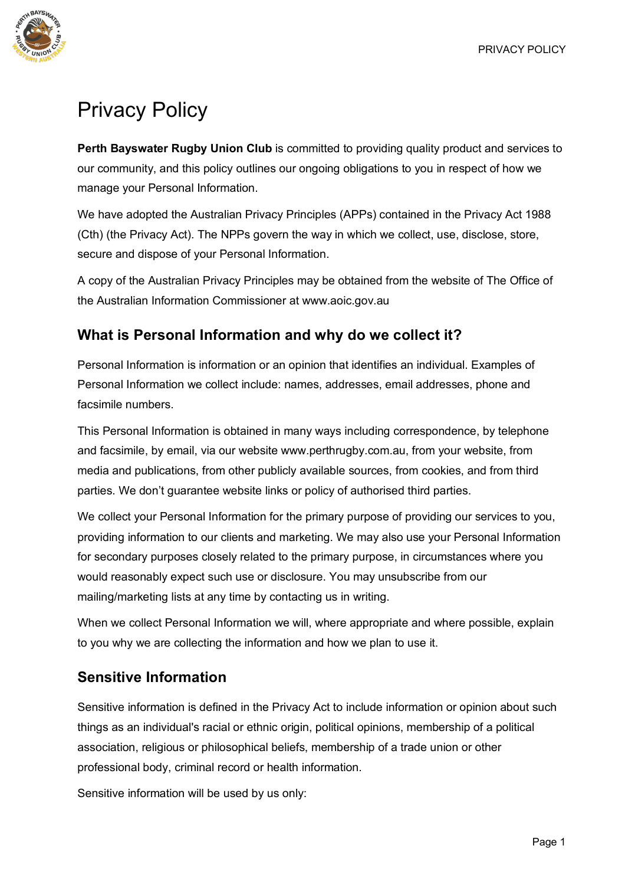

# Privacy Policy

**Perth Bayswater Rugby Union Club** is committed to providing quality product and services to our community, and this policy outlines our ongoing obligations to you in respect of how we manage your Personal Information.

We have adopted the Australian Privacy Principles (APPs) contained in the Privacy Act 1988 (Cth) (the Privacy Act). The NPPs govern the way in which we collect, use, disclose, store, secure and dispose of your Personal Information.

A copy of the Australian Privacy Principles may be obtained from the website of The Office of the Australian Information Commissioner at www.aoic.gov.au

## **What is Personal Information and why do we collect it?**

Personal Information is information or an opinion that identifies an individual. Examples of Personal Information we collect include: names, addresses, email addresses, phone and facsimile numbers.

This Personal Information is obtained in many ways including correspondence, by telephone and facsimile, by email, via our website www.perthrugby.com.au, from your website, from media and publications, from other publicly available sources, from cookies, and from third parties. We don't guarantee website links or policy of authorised third parties.

We collect your Personal Information for the primary purpose of providing our services to you, providing information to our clients and marketing. We may also use your Personal Information for secondary purposes closely related to the primary purpose, in circumstances where you would reasonably expect such use or disclosure. You may unsubscribe from our mailing/marketing lists at any time by contacting us in writing.

When we collect Personal Information we will, where appropriate and where possible, explain to you why we are collecting the information and how we plan to use it.

## **Sensitive Information**

Sensitive information is defined in the Privacy Act to include information or opinion about such things as an individual's racial or ethnic origin, political opinions, membership of a political association, religious or philosophical beliefs, membership of a trade union or other professional body, criminal record or health information.

Sensitive information will be used by us only: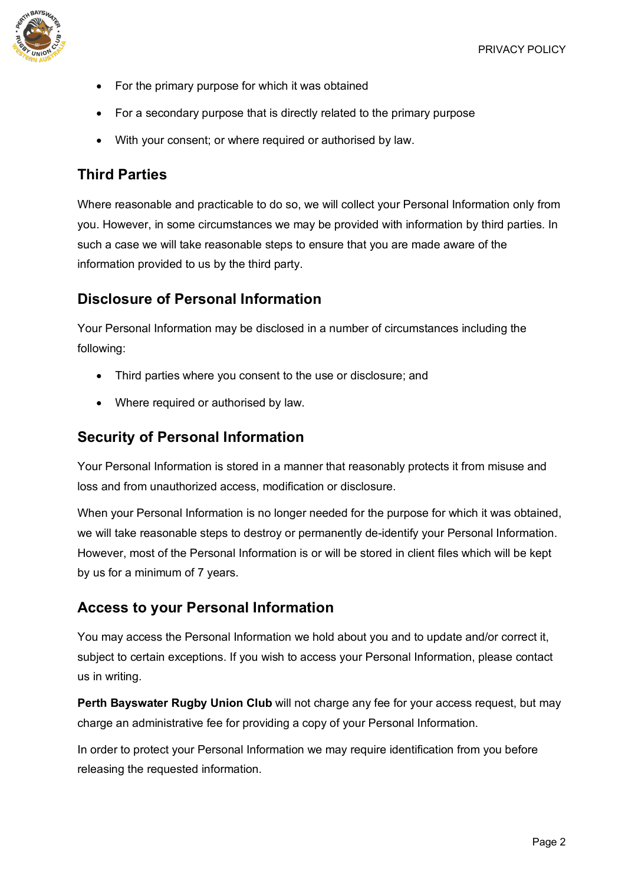

- For the primary purpose for which it was obtained
- For a secondary purpose that is directly related to the primary purpose
- With your consent; or where required or authorised by law.

#### **Third Parties**

Where reasonable and practicable to do so, we will collect your Personal Information only from you. However, in some circumstances we may be provided with information by third parties. In such a case we will take reasonable steps to ensure that you are made aware of the information provided to us by the third party.

#### **Disclosure of Personal Information**

Your Personal Information may be disclosed in a number of circumstances including the following:

- Third parties where you consent to the use or disclosure; and
- Where required or authorised by law.

#### **Security of Personal Information**

Your Personal Information is stored in a manner that reasonably protects it from misuse and loss and from unauthorized access, modification or disclosure.

When your Personal Information is no longer needed for the purpose for which it was obtained, we will take reasonable steps to destroy or permanently de-identify your Personal Information. However, most of the Personal Information is or will be stored in client files which will be kept by us for a minimum of 7 years.

#### **Access to your Personal Information**

You may access the Personal Information we hold about you and to update and/or correct it, subject to certain exceptions. If you wish to access your Personal Information, please contact us in writing.

**Perth Bayswater Rugby Union Club** will not charge any fee for your access request, but may charge an administrative fee for providing a copy of your Personal Information.

In order to protect your Personal Information we may require identification from you before releasing the requested information.